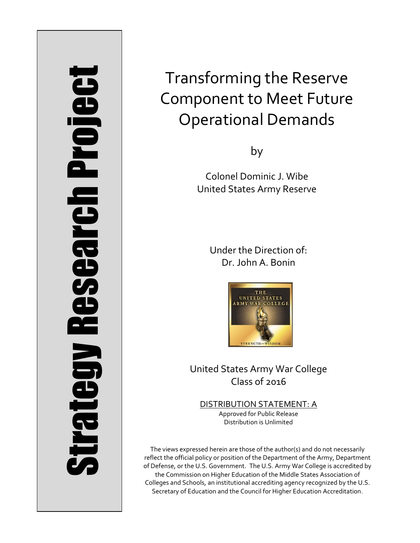# Strategy Research Project **Strategy Research Project**

# Transforming the Reserve Component to Meet Future Operational Demands

by

Colonel Dominic J. Wibe United States Army Reserve

> Under the Direction of: Dr. John A. Bonin



United States Army War College Class of 2016

DISTRIBUTION STATEMENT: A Approved for Public Release Distribution is Unlimited

The views expressed herein are those of the author(s) and do not necessarily reflect the official policy or position of the Department of the Army, Department of Defense, or the U.S. Government. The U.S. Army War College is accredited by the Commission on Higher Education of the Middle States Association of Colleges and Schools, an institutional accrediting agency recognized by the U.S. Secretary of Education and the Council for Higher Education Accreditation.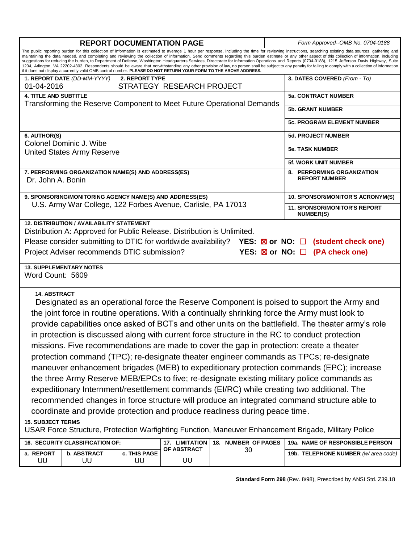|                                                                                                                                                                                                                                                                                                                                                                                                                                                                                                                                                                                                                             |                          |                    |             |    |  | Form Approved--OMB No. 0704-0188    |  |
|-----------------------------------------------------------------------------------------------------------------------------------------------------------------------------------------------------------------------------------------------------------------------------------------------------------------------------------------------------------------------------------------------------------------------------------------------------------------------------------------------------------------------------------------------------------------------------------------------------------------------------|--------------------------|--------------------|-------------|----|--|-------------------------------------|--|
| <b>REPORT DOCUMENTATION PAGE</b>                                                                                                                                                                                                                                                                                                                                                                                                                                                                                                                                                                                            |                          |                    |             |    |  |                                     |  |
| The public reporting burden for this collection of information is estimated to average 1 hour per response, including the time for reviewing instructions, searching existing data sources, gathering and<br>maintaining the data needed, and completing and reviewing the collection of information. Send comments regarding this burden estimate or any other aspect of this collection of information, including<br>suggestions for reducing the burden, to Department of Defense, Washington Headquarters Services, Directorate for Information Operations and Reports (0704-0188), 1215 Jefferson Davis Highway, Suite |                          |                    |             |    |  |                                     |  |
| 1204, Arlington, VA 22202-4302. Respondents should be aware that notwithstanding any other provision of law, no person shall be subject to any penalty for failing to comply with a collection of information<br>if it does not display a currently valid OMB control number. PLEASE DO NOT RETURN YOUR FORM TO THE ABOVE ADDRESS.                                                                                                                                                                                                                                                                                          |                          |                    |             |    |  |                                     |  |
| 1. REPORT DATE (DD-MM-YYYY)<br>2. REPORT TYPE                                                                                                                                                                                                                                                                                                                                                                                                                                                                                                                                                                               |                          |                    |             |    |  | 3. DATES COVERED (From - To)        |  |
| STRATEGY RESEARCH PROJECT<br>01-04-2016                                                                                                                                                                                                                                                                                                                                                                                                                                                                                                                                                                                     |                          |                    |             |    |  |                                     |  |
| <b>4. TITLE AND SUBTITLE</b>                                                                                                                                                                                                                                                                                                                                                                                                                                                                                                                                                                                                |                          |                    |             |    |  | <b>5a. CONTRACT NUMBER</b>          |  |
| Transforming the Reserve Component to Meet Future Operational Demands                                                                                                                                                                                                                                                                                                                                                                                                                                                                                                                                                       |                          |                    |             |    |  | <b>5b. GRANT NUMBER</b>             |  |
|                                                                                                                                                                                                                                                                                                                                                                                                                                                                                                                                                                                                                             |                          |                    |             |    |  |                                     |  |
|                                                                                                                                                                                                                                                                                                                                                                                                                                                                                                                                                                                                                             |                          |                    |             |    |  | <b>5c. PROGRAM ELEMENT NUMBER</b>   |  |
| 6. AUTHOR(S)                                                                                                                                                                                                                                                                                                                                                                                                                                                                                                                                                                                                                |                          |                    |             |    |  | <b>5d. PROJECT NUMBER</b>           |  |
| Colonel Dominic J. Wibe                                                                                                                                                                                                                                                                                                                                                                                                                                                                                                                                                                                                     |                          |                    |             |    |  |                                     |  |
| <b>United States Army Reserve</b>                                                                                                                                                                                                                                                                                                                                                                                                                                                                                                                                                                                           |                          |                    |             |    |  | <b>5e. TASK NUMBER</b>              |  |
|                                                                                                                                                                                                                                                                                                                                                                                                                                                                                                                                                                                                                             |                          |                    |             |    |  | <b>5f. WORK UNIT NUMBER</b>         |  |
| 7. PERFORMING ORGANIZATION NAME(S) AND ADDRESS(ES)<br>Dr. John A. Bonin                                                                                                                                                                                                                                                                                                                                                                                                                                                                                                                                                     |                          |                    |             |    |  | 8. PERFORMING ORGANIZATION          |  |
|                                                                                                                                                                                                                                                                                                                                                                                                                                                                                                                                                                                                                             |                          |                    |             |    |  | <b>REPORT NUMBER</b>                |  |
| 9. SPONSORING/MONITORING AGENCY NAME(S) AND ADDRESS(ES)<br>U.S. Army War College, 122 Forbes Avenue, Carlisle, PA 17013                                                                                                                                                                                                                                                                                                                                                                                                                                                                                                     |                          |                    |             |    |  | 10. SPONSOR/MONITOR'S ACRONYM(S)    |  |
|                                                                                                                                                                                                                                                                                                                                                                                                                                                                                                                                                                                                                             |                          |                    |             |    |  | <b>11. SPONSOR/MONITOR'S REPORT</b> |  |
|                                                                                                                                                                                                                                                                                                                                                                                                                                                                                                                                                                                                                             |                          |                    |             |    |  | <b>NUMBER(S)</b>                    |  |
| <b>12. DISTRIBUTION / AVAILABILITY STATEMENT</b>                                                                                                                                                                                                                                                                                                                                                                                                                                                                                                                                                                            |                          |                    |             |    |  |                                     |  |
| Distribution A: Approved for Public Release. Distribution is Unlimited.                                                                                                                                                                                                                                                                                                                                                                                                                                                                                                                                                     |                          |                    |             |    |  |                                     |  |
| Please consider submitting to DTIC for worldwide availability? YES: $\boxtimes$ or NO: $\Box$ (student check one)                                                                                                                                                                                                                                                                                                                                                                                                                                                                                                           |                          |                    |             |    |  |                                     |  |
| YES: $\boxtimes$ or NO: $\Box$ (PA check one)<br>Project Adviser recommends DTIC submission?                                                                                                                                                                                                                                                                                                                                                                                                                                                                                                                                |                          |                    |             |    |  |                                     |  |
| <b>13. SUPPLEMENTARY NOTES</b>                                                                                                                                                                                                                                                                                                                                                                                                                                                                                                                                                                                              |                          |                    |             |    |  |                                     |  |
| Word Count: 5609                                                                                                                                                                                                                                                                                                                                                                                                                                                                                                                                                                                                            |                          |                    |             |    |  |                                     |  |
|                                                                                                                                                                                                                                                                                                                                                                                                                                                                                                                                                                                                                             |                          |                    |             |    |  |                                     |  |
| <b>14. ABSTRACT</b>                                                                                                                                                                                                                                                                                                                                                                                                                                                                                                                                                                                                         |                          |                    |             |    |  |                                     |  |
| Designated as an operational force the Reserve Component is poised to support the Army and                                                                                                                                                                                                                                                                                                                                                                                                                                                                                                                                  |                          |                    |             |    |  |                                     |  |
| the joint force in routine operations. With a continually shrinking force the Army must look to                                                                                                                                                                                                                                                                                                                                                                                                                                                                                                                             |                          |                    |             |    |  |                                     |  |
| provide capabilities once asked of BCTs and other units on the battlefield. The theater army's role                                                                                                                                                                                                                                                                                                                                                                                                                                                                                                                         |                          |                    |             |    |  |                                     |  |
| in protection is discussed along with current force structure in the RC to conduct protection                                                                                                                                                                                                                                                                                                                                                                                                                                                                                                                               |                          |                    |             |    |  |                                     |  |
| missions. Five recommendations are made to cover the gap in protection: create a theater                                                                                                                                                                                                                                                                                                                                                                                                                                                                                                                                    |                          |                    |             |    |  |                                     |  |
| protection command (TPC); re-designate theater engineer commands as TPCs; re-designate                                                                                                                                                                                                                                                                                                                                                                                                                                                                                                                                      |                          |                    |             |    |  |                                     |  |
| maneuver enhancement brigades (MEB) to expeditionary protection commands (EPC); increase                                                                                                                                                                                                                                                                                                                                                                                                                                                                                                                                    |                          |                    |             |    |  |                                     |  |
| the three Army Reserve MEB/EPCs to five; re-designate existing military police commands as                                                                                                                                                                                                                                                                                                                                                                                                                                                                                                                                  |                          |                    |             |    |  |                                     |  |
| expeditionary Internment/resettlement commands (EI/RC) while creating two additional. The                                                                                                                                                                                                                                                                                                                                                                                                                                                                                                                                   |                          |                    |             |    |  |                                     |  |
| recommended changes in force structure will produce an integrated command structure able to                                                                                                                                                                                                                                                                                                                                                                                                                                                                                                                                 |                          |                    |             |    |  |                                     |  |
|                                                                                                                                                                                                                                                                                                                                                                                                                                                                                                                                                                                                                             |                          |                    |             |    |  |                                     |  |
| coordinate and provide protection and produce readiness during peace time.                                                                                                                                                                                                                                                                                                                                                                                                                                                                                                                                                  |                          |                    |             |    |  |                                     |  |
| <b>15. SUBJECT TERMS</b><br>USAR Force Structure, Protection Warfighting Function, Maneuver Enhancement Brigade, Military Police                                                                                                                                                                                                                                                                                                                                                                                                                                                                                            |                          |                    |             |    |  |                                     |  |
| 16. SECURITY CLASSIFICATION OF:<br>18. NUMBER OF PAGES<br>17. LIMITATION<br>19a. NAME OF RESPONSIBLE PERSON                                                                                                                                                                                                                                                                                                                                                                                                                                                                                                                 |                          |                    |             |    |  |                                     |  |
|                                                                                                                                                                                                                                                                                                                                                                                                                                                                                                                                                                                                                             |                          |                    | OF ABSTRACT | 30 |  |                                     |  |
| a. REPORT<br>UU                                                                                                                                                                                                                                                                                                                                                                                                                                                                                                                                                                                                             | <b>b. ABSTRACT</b><br>UU | c. THIS PAGE<br>UU | UU          |    |  | 19b. TELEPHONE NUMBER (w/area code) |  |

**Standard Form 298** (Rev. 8/98), Prescribed by ANSI Std. Z39.18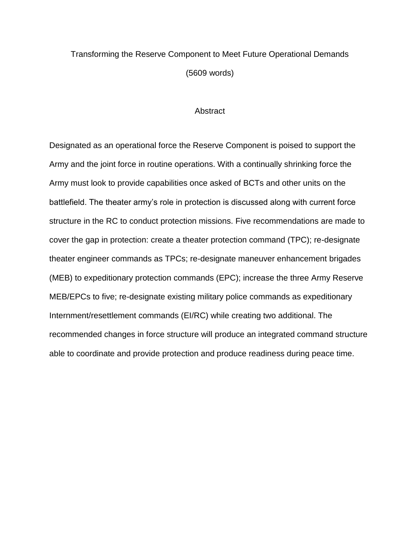## Transforming the Reserve Component to Meet Future Operational Demands (5609 words)

### **Abstract**

Designated as an operational force the Reserve Component is poised to support the Army and the joint force in routine operations. With a continually shrinking force the Army must look to provide capabilities once asked of BCTs and other units on the battlefield. The theater army's role in protection is discussed along with current force structure in the RC to conduct protection missions. Five recommendations are made to cover the gap in protection: create a theater protection command (TPC); re-designate theater engineer commands as TPCs; re-designate maneuver enhancement brigades (MEB) to expeditionary protection commands (EPC); increase the three Army Reserve MEB/EPCs to five; re-designate existing military police commands as expeditionary Internment/resettlement commands (EI/RC) while creating two additional. The recommended changes in force structure will produce an integrated command structure able to coordinate and provide protection and produce readiness during peace time.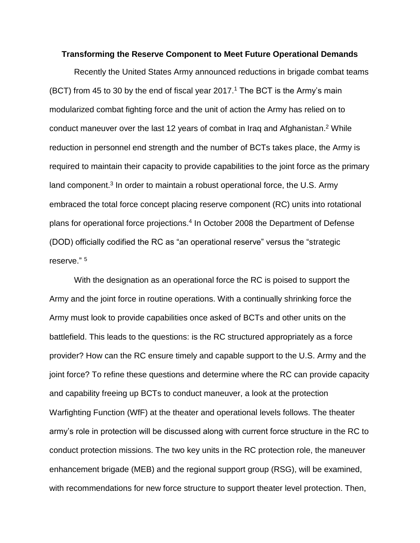### **Transforming the Reserve Component to Meet Future Operational Demands**

Recently the United States Army announced reductions in brigade combat teams (BCT) from 45 to 30 by the end of fiscal year 2017.<sup>1</sup> The BCT is the Army's main modularized combat fighting force and the unit of action the Army has relied on to conduct maneuver over the last 12 years of combat in Iraq and Afghanistan.<sup>2</sup> While reduction in personnel end strength and the number of BCTs takes place, the Army is required to maintain their capacity to provide capabilities to the joint force as the primary land component.<sup>3</sup> In order to maintain a robust operational force, the U.S. Army embraced the total force concept placing reserve component (RC) units into rotational plans for operational force projections.<sup>4</sup> In October 2008 the Department of Defense (DOD) officially codified the RC as "an operational reserve" versus the "strategic reserve." 5

With the designation as an operational force the RC is poised to support the Army and the joint force in routine operations. With a continually shrinking force the Army must look to provide capabilities once asked of BCTs and other units on the battlefield. This leads to the questions: is the RC structured appropriately as a force provider? How can the RC ensure timely and capable support to the U.S. Army and the joint force? To refine these questions and determine where the RC can provide capacity and capability freeing up BCTs to conduct maneuver, a look at the protection Warfighting Function (WfF) at the theater and operational levels follows. The theater army's role in protection will be discussed along with current force structure in the RC to conduct protection missions. The two key units in the RC protection role, the maneuver enhancement brigade (MEB) and the regional support group (RSG), will be examined, with recommendations for new force structure to support theater level protection. Then,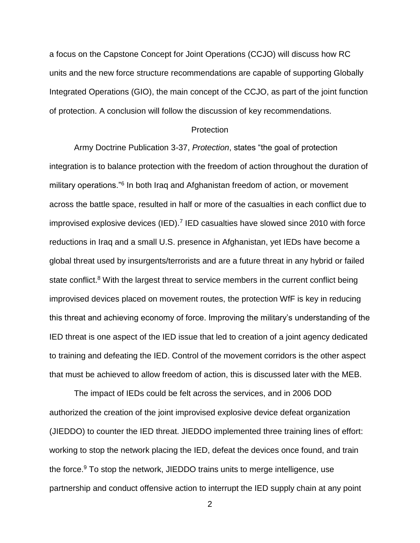a focus on the Capstone Concept for Joint Operations (CCJO) will discuss how RC units and the new force structure recommendations are capable of supporting Globally Integrated Operations (GIO), the main concept of the CCJO, as part of the joint function of protection. A conclusion will follow the discussion of key recommendations.

### **Protection**

Army Doctrine Publication 3-37, *Protection*, states "the goal of protection integration is to balance protection with the freedom of action throughout the duration of military operations."<sup>6</sup> In both Iraq and Afghanistan freedom of action, or movement across the battle space, resulted in half or more of the casualties in each conflict due to improvised explosive devices (IED).<sup>7</sup> IED casualties have slowed since 2010 with force reductions in Iraq and a small U.S. presence in Afghanistan, yet IEDs have become a global threat used by insurgents/terrorists and are a future threat in any hybrid or failed state conflict.<sup>8</sup> With the largest threat to service members in the current conflict being improvised devices placed on movement routes, the protection WfF is key in reducing this threat and achieving economy of force. Improving the military's understanding of the IED threat is one aspect of the IED issue that led to creation of a joint agency dedicated to training and defeating the IED. Control of the movement corridors is the other aspect that must be achieved to allow freedom of action, this is discussed later with the MEB.

The impact of IEDs could be felt across the services, and in 2006 DOD authorized the creation of the joint improvised explosive device defeat organization (JIEDDO) to counter the IED threat. JIEDDO implemented three training lines of effort: working to stop the network placing the IED, defeat the devices once found, and train the force.<sup>9</sup> To stop the network, JIEDDO trains units to merge intelligence, use partnership and conduct offensive action to interrupt the IED supply chain at any point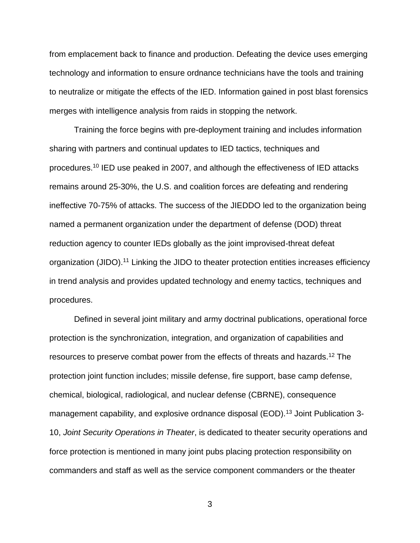from emplacement back to finance and production. Defeating the device uses emerging technology and information to ensure ordnance technicians have the tools and training to neutralize or mitigate the effects of the IED. Information gained in post blast forensics merges with intelligence analysis from raids in stopping the network.

Training the force begins with pre-deployment training and includes information sharing with partners and continual updates to IED tactics, techniques and procedures.<sup>10</sup> IED use peaked in 2007, and although the effectiveness of IED attacks remains around 25-30%, the U.S. and coalition forces are defeating and rendering ineffective 70-75% of attacks. The success of the JIEDDO led to the organization being named a permanent organization under the department of defense (DOD) threat reduction agency to counter IEDs globally as the joint improvised-threat defeat organization (JIDO).<sup>11</sup> Linking the JIDO to theater protection entities increases efficiency in trend analysis and provides updated technology and enemy tactics, techniques and procedures.

Defined in several joint military and army doctrinal publications, operational force protection is the synchronization, integration, and organization of capabilities and resources to preserve combat power from the effects of threats and hazards.<sup>12</sup> The protection joint function includes; missile defense, fire support, base camp defense, chemical, biological, radiological, and nuclear defense (CBRNE), consequence management capability, and explosive ordnance disposal (EOD).<sup>13</sup> Joint Publication 3-10, *Joint Security Operations in Theater*, is dedicated to theater security operations and force protection is mentioned in many joint pubs placing protection responsibility on commanders and staff as well as the service component commanders or the theater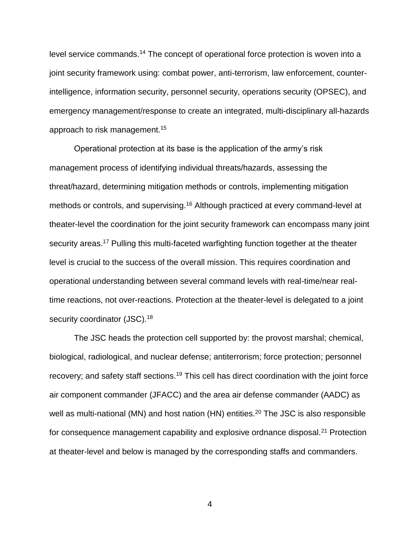level service commands.<sup>14</sup> The concept of operational force protection is woven into a joint security framework using: combat power, anti-terrorism, law enforcement, counterintelligence, information security, personnel security, operations security (OPSEC), and emergency management/response to create an integrated, multi-disciplinary all-hazards approach to risk management.<sup>15</sup>

Operational protection at its base is the application of the army's risk management process of identifying individual threats/hazards, assessing the threat/hazard, determining mitigation methods or controls, implementing mitigation methods or controls, and supervising.<sup>16</sup> Although practiced at every command-level at theater-level the coordination for the joint security framework can encompass many joint security areas.<sup>17</sup> Pulling this multi-faceted warfighting function together at the theater level is crucial to the success of the overall mission. This requires coordination and operational understanding between several command levels with real-time/near realtime reactions, not over-reactions. Protection at the theater-level is delegated to a joint security coordinator (JSC).<sup>18</sup>

The JSC heads the protection cell supported by: the provost marshal; chemical, biological, radiological, and nuclear defense; antiterrorism; force protection; personnel recovery; and safety staff sections.<sup>19</sup> This cell has direct coordination with the joint force air component commander (JFACC) and the area air defense commander (AADC) as well as multi-national (MN) and host nation (HN) entities.<sup>20</sup> The JSC is also responsible for consequence management capability and explosive ordnance disposal.<sup>21</sup> Protection at theater-level and below is managed by the corresponding staffs and commanders.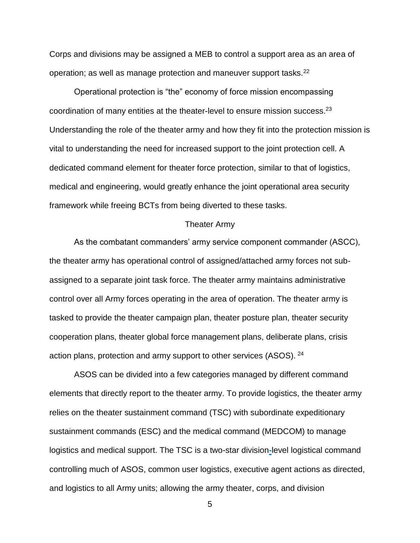Corps and divisions may be assigned a MEB to control a support area as an area of operation; as well as manage protection and maneuver support tasks.<sup>22</sup>

Operational protection is "the" economy of force mission encompassing coordination of many entities at the theater-level to ensure mission success.<sup>23</sup> Understanding the role of the theater army and how they fit into the protection mission is vital to understanding the need for increased support to the joint protection cell. A dedicated command element for theater force protection, similar to that of logistics, medical and engineering, would greatly enhance the joint operational area security framework while freeing BCTs from being diverted to these tasks.

### Theater Army

As the combatant commanders' army service component commander (ASCC), the theater army has operational control of assigned/attached army forces not subassigned to a separate joint task force. The theater army maintains administrative control over all Army forces operating in the area of operation. The theater army is tasked to provide the theater campaign plan, theater posture plan, theater security cooperation plans, theater global force management plans, deliberate plans, crisis action plans, protection and army support to other services (ASOS). <sup>24</sup>

ASOS can be divided into a few categories managed by different command elements that directly report to the theater army. To provide logistics, the theater army relies on the theater sustainment command (TSC) with subordinate expeditionary sustainment commands (ESC) and the medical command (MEDCOM) to manage logistics and medical support. The TSC is a two-star division**-**level logistical command controlling much of ASOS, common user logistics, executive agent actions as directed, and logistics to all Army units; allowing the army theater, corps, and division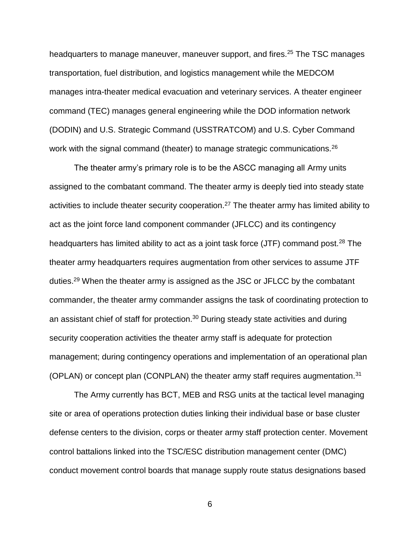headquarters to manage maneuver, maneuver support, and fires.<sup>25</sup> The TSC manages transportation, fuel distribution, and logistics management while the MEDCOM manages intra-theater medical evacuation and veterinary services. A theater engineer command (TEC) manages general engineering while the DOD information network (DODIN) and U.S. Strategic Command (USSTRATCOM) and U.S. Cyber Command work with the signal command (theater) to manage strategic communications.<sup>26</sup>

The theater army's primary role is to be the ASCC managing all Army units assigned to the combatant command. The theater army is deeply tied into steady state activities to include theater security cooperation.<sup>27</sup> The theater army has limited ability to act as the joint force land component commander (JFLCC) and its contingency headquarters has limited ability to act as a joint task force (JTF) command post.<sup>28</sup> The theater army headquarters requires augmentation from other services to assume JTF duties.<sup>29</sup> When the theater army is assigned as the JSC or JFLCC by the combatant commander, the theater army commander assigns the task of coordinating protection to an assistant chief of staff for protection. $30$  During steady state activities and during security cooperation activities the theater army staff is adequate for protection management; during contingency operations and implementation of an operational plan (OPLAN) or concept plan (CONPLAN) the theater army staff requires augmentation.<sup>31</sup>

The Army currently has BCT, MEB and RSG units at the tactical level managing site or area of operations protection duties linking their individual base or base cluster defense centers to the division, corps or theater army staff protection center. Movement control battalions linked into the TSC/ESC distribution management center (DMC) conduct movement control boards that manage supply route status designations based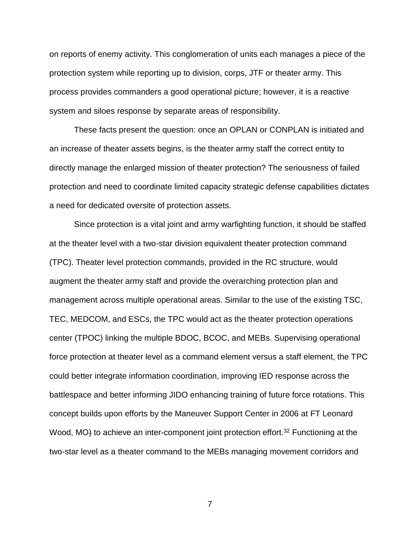on reports of enemy activity. This conglomeration of units each manages a piece of the protection system while reporting up to division, corps, JTF or theater army. This process provides commanders a good operational picture; however, it is a reactive system and siloes response by separate areas of responsibility.

These facts present the question: once an OPLAN or CONPLAN is initiated and an increase of theater assets begins, is the theater army staff the correct entity to directly manage the enlarged mission of theater protection? The seriousness of failed protection and need to coordinate limited capacity strategic defense capabilities dictates a need for dedicated oversite of protection assets.

Since protection is a vital joint and army warfighting function, it should be staffed at the theater level with a two-star division equivalent theater protection command (TPC). Theater level protection commands, provided in the RC structure, would augment the theater army staff and provide the overarching protection plan and management across multiple operational areas. Similar to the use of the existing TSC, TEC, MEDCOM, and ESCs, the TPC would act as the theater protection operations center (TPOC) linking the multiple BDOC, BCOC, and MEBs. Supervising operational force protection at theater level as a command element versus a staff element, the TPC could better integrate information coordination, improving IED response across the battlespace and better informing JIDO enhancing training of future force rotations. This concept builds upon efforts by the Maneuver Support Center in 2006 at FT Leonard Wood, MO<sub>t</sub> to achieve an inter-component joint protection effort.<sup>32</sup> Functioning at the two-star level as a theater command to the MEBs managing movement corridors and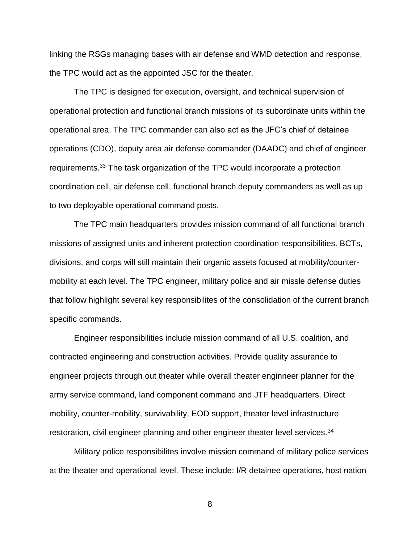linking the RSGs managing bases with air defense and WMD detection and response, the TPC would act as the appointed JSC for the theater.

The TPC is designed for execution, oversight, and technical supervision of operational protection and functional branch missions of its subordinate units within the operational area. The TPC commander can also act as the JFC's chief of detainee operations (CDO), deputy area air defense commander (DAADC) and chief of engineer requirements.<sup>33</sup> The task organization of the TPC would incorporate a protection coordination cell, air defense cell, functional branch deputy commanders as well as up to two deployable operational command posts.

The TPC main headquarters provides mission command of all functional branch missions of assigned units and inherent protection coordination responsibilities. BCTs, divisions, and corps will still maintain their organic assets focused at mobility/countermobility at each level. The TPC engineer, military police and air missle defense duties that follow highlight several key responsibilites of the consolidation of the current branch specific commands.

Engineer responsibilities include mission command of all U.S. coalition, and contracted engineering and construction activities. Provide quality assurance to engineer projects through out theater while overall theater enginneer planner for the army service command, land component command and JTF headquarters. Direct mobility, counter-mobility, survivability, EOD support, theater level infrastructure restoration, civil engineer planning and other engineer theater level services.<sup>34</sup>

Military police responsibilites involve mission command of military police services at the theater and operational level. These include: I/R detainee operations, host nation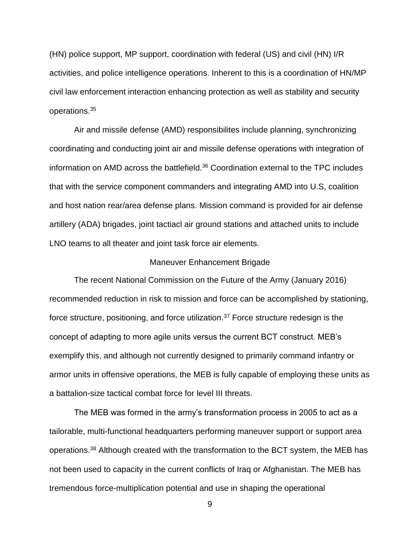(HN) police support, MP support, coordination with federal (US) and civil (HN) I/R activities, and police intelligence operations. Inherent to this is a coordination of HN/MP civil law enforcement interaction enhancing protection as well as stability and security operations.<sup>35</sup>

Air and missile defense (AMD) responsibilites include planning, synchronizing coordinating and conducting joint air and missile defense operations with integration of information on AMD across the battlefield.<sup>36</sup> Coordination external to the TPC includes that with the service component commanders and integrating AMD into U.S, coalition and host nation rear/area defense plans. Mission command is provided for air defense artillery (ADA) brigades, joint tactiacl air ground stations and attached units to include LNO teams to all theater and joint task force air elements.

### Maneuver Enhancement Brigade

The recent National Commission on the Future of the Army (January 2016) recommended reduction in risk to mission and force can be accomplished by stationing, force structure, positioning, and force utilization.<sup>37</sup> Force structure redesign is the concept of adapting to more agile units versus the current BCT construct. MEB's exemplify this, and although not currently designed to primarily command infantry or armor units in offensive operations, the MEB is fully capable of employing these units as a battalion-size tactical combat force for level III threats.

The MEB was formed in the army's transformation process in 2005 to act as a tailorable, multi-functional headquarters performing maneuver support or support area operations.<sup>38</sup> Although created with the transformation to the BCT system, the MEB has not been used to capacity in the current conflicts of Iraq or Afghanistan. The MEB has tremendous force-multiplication potential and use in shaping the operational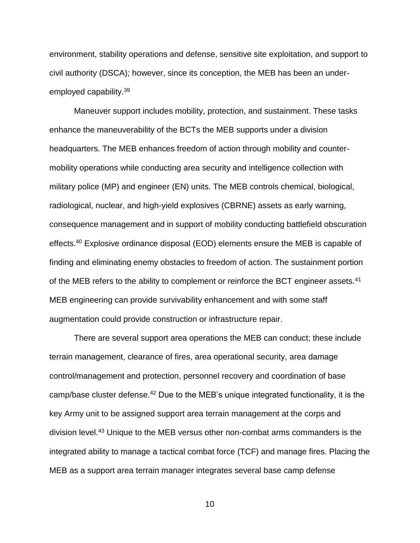environment, stability operations and defense, sensitive site exploitation, and support to civil authority (DSCA); however, since its conception, the MEB has been an underemployed capability.<sup>39</sup>

Maneuver support includes mobility, protection, and sustainment. These tasks enhance the maneuverability of the BCTs the MEB supports under a division headquarters. The MEB enhances freedom of action through mobility and countermobility operations while conducting area security and intelligence collection with military police (MP) and engineer (EN) units. The MEB controls chemical, biological, radiological, nuclear, and high-yield explosives (CBRNE) assets as early warning, consequence management and in support of mobility conducting battlefield obscuration effects.<sup>40</sup> Explosive ordinance disposal (EOD) elements ensure the MEB is capable of finding and eliminating enemy obstacles to freedom of action. The sustainment portion of the MEB refers to the ability to complement or reinforce the BCT engineer assets.<sup>41</sup> MEB engineering can provide survivability enhancement and with some staff augmentation could provide construction or infrastructure repair.

There are several support area operations the MEB can conduct; these include terrain management, clearance of fires, area operational security, area damage control/management and protection, personnel recovery and coordination of base camp/base cluster defense.<sup>42</sup> Due to the MEB's unique integrated functionality, it is the key Army unit to be assigned support area terrain management at the corps and division level.<sup>43</sup> Unique to the MEB versus other non-combat arms commanders is the integrated ability to manage a tactical combat force (TCF) and manage fires. Placing the MEB as a support area terrain manager integrates several base camp defense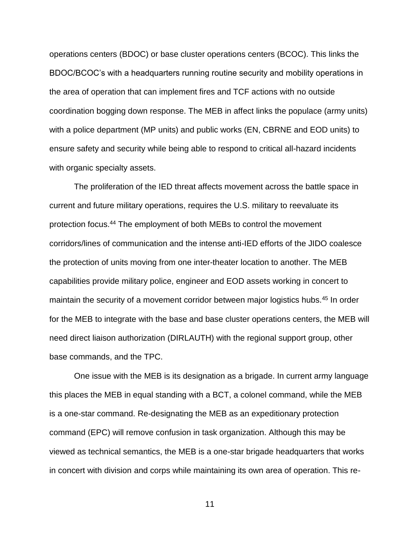operations centers (BDOC) or base cluster operations centers (BCOC). This links the BDOC/BCOC's with a headquarters running routine security and mobility operations in the area of operation that can implement fires and TCF actions with no outside coordination bogging down response. The MEB in affect links the populace (army units) with a police department (MP units) and public works (EN, CBRNE and EOD units) to ensure safety and security while being able to respond to critical all-hazard incidents with organic specialty assets.

The proliferation of the IED threat affects movement across the battle space in current and future military operations, requires the U.S. military to reevaluate its protection focus.<sup>44</sup> The employment of both MEBs to control the movement corridors/lines of communication and the intense anti-IED efforts of the JIDO coalesce the protection of units moving from one inter-theater location to another. The MEB capabilities provide military police, engineer and EOD assets working in concert to maintain the security of a movement corridor between major logistics hubs.<sup>45</sup> In order for the MEB to integrate with the base and base cluster operations centers, the MEB will need direct liaison authorization (DIRLAUTH) with the regional support group, other base commands, and the TPC.

One issue with the MEB is its designation as a brigade. In current army language this places the MEB in equal standing with a BCT, a colonel command, while the MEB is a one-star command. Re-designating the MEB as an expeditionary protection command (EPC) will remove confusion in task organization. Although this may be viewed as technical semantics, the MEB is a one-star brigade headquarters that works in concert with division and corps while maintaining its own area of operation. This re-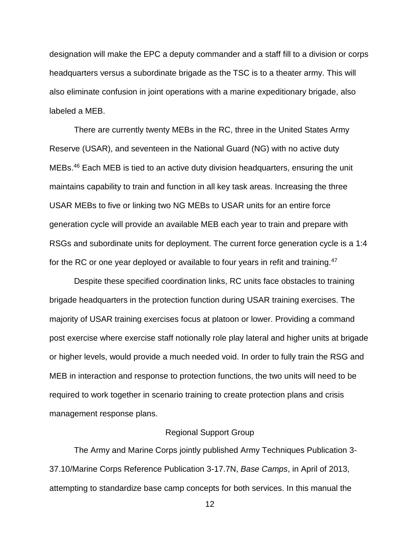designation will make the EPC a deputy commander and a staff fill to a division or corps headquarters versus a subordinate brigade as the TSC is to a theater army. This will also eliminate confusion in joint operations with a marine expeditionary brigade, also labeled a MEB.

There are currently twenty MEBs in the RC, three in the United States Army Reserve (USAR), and seventeen in the National Guard (NG) with no active duty MEBs.<sup>46</sup> Each MEB is tied to an active duty division headquarters, ensuring the unit maintains capability to train and function in all key task areas. Increasing the three USAR MEBs to five or linking two NG MEBs to USAR units for an entire force generation cycle will provide an available MEB each year to train and prepare with RSGs and subordinate units for deployment. The current force generation cycle is a 1:4 for the RC or one year deployed or available to four years in refit and training.<sup>47</sup>

Despite these specified coordination links, RC units face obstacles to training brigade headquarters in the protection function during USAR training exercises. The majority of USAR training exercises focus at platoon or lower. Providing a command post exercise where exercise staff notionally role play lateral and higher units at brigade or higher levels, would provide a much needed void. In order to fully train the RSG and MEB in interaction and response to protection functions, the two units will need to be required to work together in scenario training to create protection plans and crisis management response plans.

### Regional Support Group

The Army and Marine Corps jointly published Army Techniques Publication 3- 37.10/Marine Corps Reference Publication 3-17.7N, *Base Camps*, in April of 2013, attempting to standardize base camp concepts for both services. In this manual the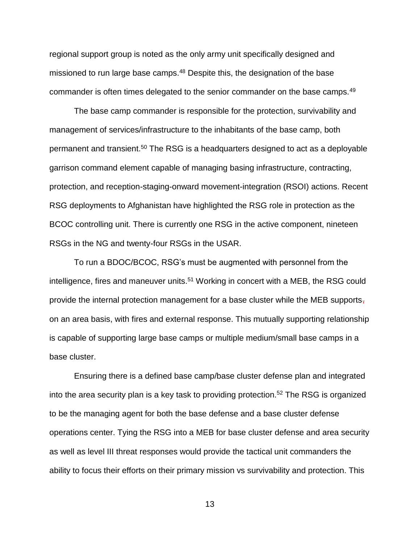regional support group is noted as the only army unit specifically designed and missioned to run large base camps.<sup>48</sup> Despite this, the designation of the base commander is often times delegated to the senior commander on the base camps.<sup>49</sup>

The base camp commander is responsible for the protection, survivability and management of services/infrastructure to the inhabitants of the base camp, both permanent and transient.<sup>50</sup> The RSG is a headquarters designed to act as a deployable garrison command element capable of managing basing infrastructure, contracting, protection, and reception-staging-onward movement-integration (RSOI) actions. Recent RSG deployments to Afghanistan have highlighted the RSG role in protection as the BCOC controlling unit. There is currently one RSG in the active component, nineteen RSGs in the NG and twenty-four RSGs in the USAR.

To run a BDOC/BCOC, RSG's must be augmented with personnel from the intelligence, fires and maneuver units.<sup>51</sup> Working in concert with a MEB, the RSG could provide the internal protection management for a base cluster while the MEB supports, on an area basis, with fires and external response. This mutually supporting relationship is capable of supporting large base camps or multiple medium/small base camps in a base cluster.

Ensuring there is a defined base camp/base cluster defense plan and integrated into the area security plan is a key task to providing protection.<sup>52</sup> The RSG is organized to be the managing agent for both the base defense and a base cluster defense operations center. Tying the RSG into a MEB for base cluster defense and area security as well as level III threat responses would provide the tactical unit commanders the ability to focus their efforts on their primary mission vs survivability and protection. This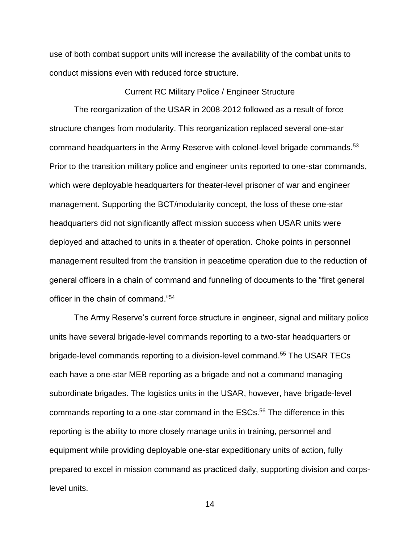use of both combat support units will increase the availability of the combat units to conduct missions even with reduced force structure.

### Current RC Military Police / Engineer Structure

The reorganization of the USAR in 2008-2012 followed as a result of force structure changes from modularity. This reorganization replaced several one-star command headquarters in the Army Reserve with colonel-level brigade commands.<sup>53</sup> Prior to the transition military police and engineer units reported to one-star commands, which were deployable headquarters for theater-level prisoner of war and engineer management. Supporting the BCT/modularity concept, the loss of these one-star headquarters did not significantly affect mission success when USAR units were deployed and attached to units in a theater of operation. Choke points in personnel management resulted from the transition in peacetime operation due to the reduction of general officers in a chain of command and funneling of documents to the "first general officer in the chain of command."<sup>54</sup>

The Army Reserve's current force structure in engineer, signal and military police units have several brigade-level commands reporting to a two-star headquarters or brigade-level commands reporting to a division-level command.<sup>55</sup> The USAR TECs each have a one-star MEB reporting as a brigade and not a command managing subordinate brigades. The logistics units in the USAR, however, have brigade-level commands reporting to a one-star command in the ESCs.<sup>56</sup> The difference in this reporting is the ability to more closely manage units in training, personnel and equipment while providing deployable one-star expeditionary units of action, fully prepared to excel in mission command as practiced daily, supporting division and corpslevel units.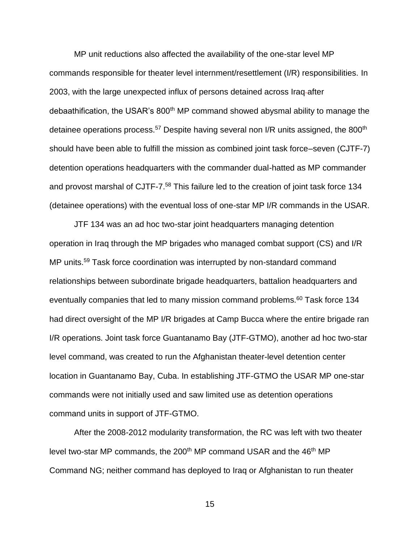MP unit reductions also affected the availability of the one-star level MP commands responsible for theater level internment/resettlement (I/R) responsibilities. In 2003, with the large unexpected influx of persons detained across Iraq after debaathification, the USAR's 800<sup>th</sup> MP command showed abysmal ability to manage the detainee operations process.<sup>57</sup> Despite having several non I/R units assigned, the 800<sup>th</sup> should have been able to fulfill the mission as combined joint task force–seven (CJTF-7) detention operations headquarters with the commander dual-hatted as MP commander and provost marshal of CJTF-7.<sup>58</sup> This failure led to the creation of joint task force 134 (detainee operations) with the eventual loss of one-star MP I/R commands in the USAR.

JTF 134 was an ad hoc two-star joint headquarters managing detention operation in Iraq through the MP brigades who managed combat support (CS) and I/R MP units.<sup>59</sup> Task force coordination was interrupted by non-standard command relationships between subordinate brigade headquarters, battalion headquarters and eventually companies that led to many mission command problems.<sup>60</sup> Task force 134 had direct oversight of the MP I/R brigades at Camp Bucca where the entire brigade ran I/R operations. Joint task force Guantanamo Bay (JTF-GTMO), another ad hoc two-star level command, was created to run the Afghanistan theater-level detention center location in Guantanamo Bay, Cuba. In establishing JTF-GTMO the USAR MP one-star commands were not initially used and saw limited use as detention operations command units in support of JTF-GTMO.

After the 2008-2012 modularity transformation, the RC was left with two theater level two-star MP commands, the 200<sup>th</sup> MP command USAR and the 46<sup>th</sup> MP Command NG; neither command has deployed to Iraq or Afghanistan to run theater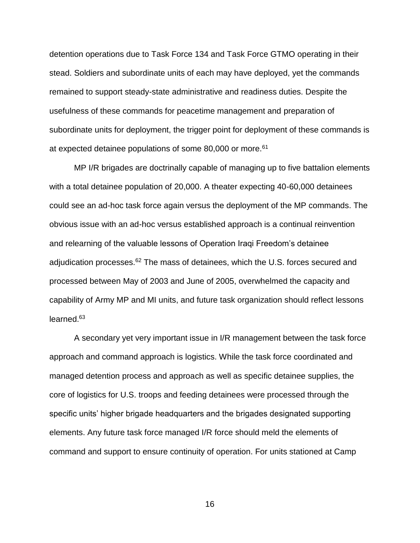detention operations due to Task Force 134 and Task Force GTMO operating in their stead. Soldiers and subordinate units of each may have deployed, yet the commands remained to support steady-state administrative and readiness duties. Despite the usefulness of these commands for peacetime management and preparation of subordinate units for deployment, the trigger point for deployment of these commands is at expected detainee populations of some 80,000 or more.<sup>61</sup>

MP I/R brigades are doctrinally capable of managing up to five battalion elements with a total detainee population of 20,000. A theater expecting 40-60,000 detainees could see an ad-hoc task force again versus the deployment of the MP commands. The obvious issue with an ad-hoc versus established approach is a continual reinvention and relearning of the valuable lessons of Operation Iraqi Freedom's detainee adjudication processes.<sup>62</sup> The mass of detainees, which the U.S. forces secured and processed between May of 2003 and June of 2005, overwhelmed the capacity and capability of Army MP and MI units, and future task organization should reflect lessons learned.<sup>63</sup>

A secondary yet very important issue in I/R management between the task force approach and command approach is logistics. While the task force coordinated and managed detention process and approach as well as specific detainee supplies, the core of logistics for U.S. troops and feeding detainees were processed through the specific units' higher brigade headquarters and the brigades designated supporting elements. Any future task force managed I/R force should meld the elements of command and support to ensure continuity of operation. For units stationed at Camp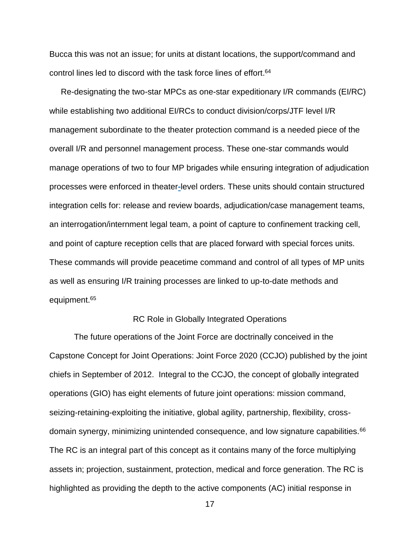Bucca this was not an issue; for units at distant locations, the support/command and control lines led to discord with the task force lines of effort.<sup>64</sup>

 Re-designating the two-star MPCs as one-star expeditionary I/R commands (EI/RC) while establishing two additional EI/RCs to conduct division/corps/JTF level I/R management subordinate to the theater protection command is a needed piece of the overall I/R and personnel management process. These one-star commands would manage operations of two to four MP brigades while ensuring integration of adjudication processes were enforced in theater**-**level orders. These units should contain structured integration cells for: release and review boards, adjudication/case management teams, an interrogation/internment legal team, a point of capture to confinement tracking cell, and point of capture reception cells that are placed forward with special forces units. These commands will provide peacetime command and control of all types of MP units as well as ensuring I/R training processes are linked to up-to-date methods and equipment.<sup>65</sup>

### RC Role in Globally Integrated Operations

The future operations of the Joint Force are doctrinally conceived in the Capstone Concept for Joint Operations: Joint Force 2020 (CCJO) published by the joint chiefs in September of 2012. Integral to the CCJO, the concept of globally integrated operations (GIO) has eight elements of future joint operations: mission command, seizing-retaining-exploiting the initiative, global agility, partnership, flexibility, crossdomain synergy, minimizing unintended consequence, and low signature capabilities.<sup>66</sup> The RC is an integral part of this concept as it contains many of the force multiplying assets in; projection, sustainment, protection, medical and force generation. The RC is highlighted as providing the depth to the active components (AC) initial response in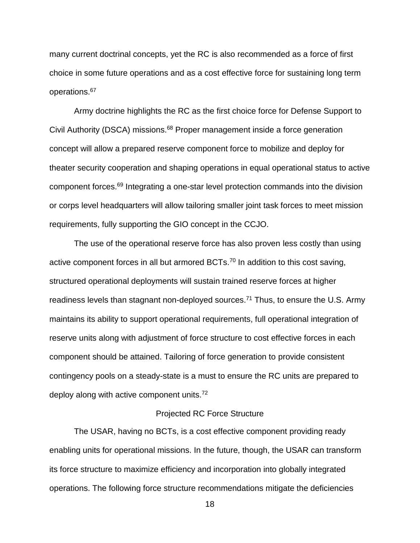many current doctrinal concepts, yet the RC is also recommended as a force of first choice in some future operations and as a cost effective force for sustaining long term operations.<sup>67</sup>

Army doctrine highlights the RC as the first choice force for Defense Support to Civil Authority (DSCA) missions.<sup>68</sup> Proper management inside a force generation concept will allow a prepared reserve component force to mobilize and deploy for theater security cooperation and shaping operations in equal operational status to active component forces.<sup>69</sup> Integrating a one-star level protection commands into the division or corps level headquarters will allow tailoring smaller joint task forces to meet mission requirements, fully supporting the GIO concept in the CCJO.

The use of the operational reserve force has also proven less costly than using active component forces in all but armored BCTs.<sup>70</sup> In addition to this cost saving, structured operational deployments will sustain trained reserve forces at higher readiness levels than stagnant non-deployed sources.<sup>71</sup> Thus, to ensure the U.S. Army maintains its ability to support operational requirements, full operational integration of reserve units along with adjustment of force structure to cost effective forces in each component should be attained. Tailoring of force generation to provide consistent contingency pools on a steady-state is a must to ensure the RC units are prepared to deploy along with active component units.<sup>72</sup>

### Projected RC Force Structure

The USAR, having no BCTs, is a cost effective component providing ready enabling units for operational missions. In the future, though, the USAR can transform its force structure to maximize efficiency and incorporation into globally integrated operations. The following force structure recommendations mitigate the deficiencies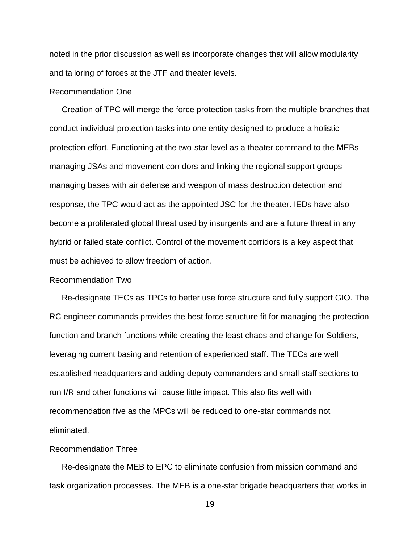noted in the prior discussion as well as incorporate changes that will allow modularity and tailoring of forces at the JTF and theater levels.

### Recommendation One

Creation of TPC will merge the force protection tasks from the multiple branches that conduct individual protection tasks into one entity designed to produce a holistic protection effort. Functioning at the two-star level as a theater command to the MEBs managing JSAs and movement corridors and linking the regional support groups managing bases with air defense and weapon of mass destruction detection and response, the TPC would act as the appointed JSC for the theater. IEDs have also become a proliferated global threat used by insurgents and are a future threat in any hybrid or failed state conflict. Control of the movement corridors is a key aspect that must be achieved to allow freedom of action.

### Recommendation Two

Re-designate TECs as TPCs to better use force structure and fully support GIO. The RC engineer commands provides the best force structure fit for managing the protection function and branch functions while creating the least chaos and change for Soldiers, leveraging current basing and retention of experienced staff. The TECs are well established headquarters and adding deputy commanders and small staff sections to run I/R and other functions will cause little impact. This also fits well with recommendation five as the MPCs will be reduced to one-star commands not eliminated.

### Recommendation Three

Re-designate the MEB to EPC to eliminate confusion from mission command and task organization processes. The MEB is a one-star brigade headquarters that works in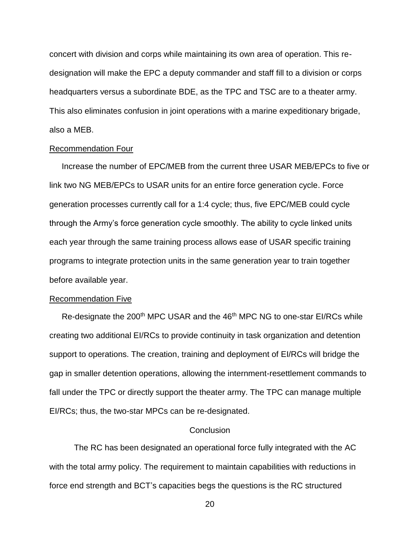concert with division and corps while maintaining its own area of operation. This redesignation will make the EPC a deputy commander and staff fill to a division or corps headquarters versus a subordinate BDE, as the TPC and TSC are to a theater army. This also eliminates confusion in joint operations with a marine expeditionary brigade, also a MEB.

### Recommendation Four

Increase the number of EPC/MEB from the current three USAR MEB/EPCs to five or link two NG MEB/EPCs to USAR units for an entire force generation cycle. Force generation processes currently call for a 1:4 cycle; thus, five EPC/MEB could cycle through the Army's force generation cycle smoothly. The ability to cycle linked units each year through the same training process allows ease of USAR specific training programs to integrate protection units in the same generation year to train together before available year.

### Recommendation Five

Re-designate the 200<sup>th</sup> MPC USAR and the 46<sup>th</sup> MPC NG to one-star EI/RCs while creating two additional EI/RCs to provide continuity in task organization and detention support to operations. The creation, training and deployment of EI/RCs will bridge the gap in smaller detention operations, allowing the internment-resettlement commands to fall under the TPC or directly support the theater army. The TPC can manage multiple EI/RCs; thus, the two-star MPCs can be re-designated.

### **Conclusion**

The RC has been designated an operational force fully integrated with the AC with the total army policy. The requirement to maintain capabilities with reductions in force end strength and BCT's capacities begs the questions is the RC structured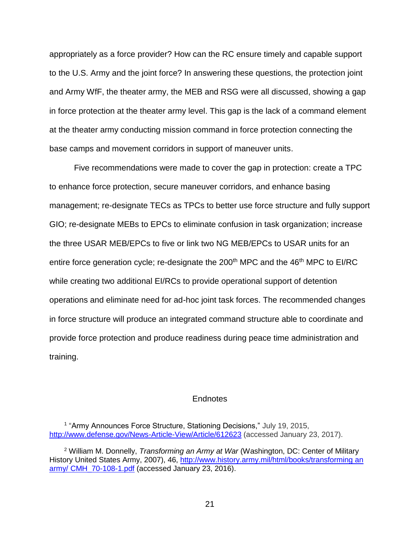appropriately as a force provider? How can the RC ensure timely and capable support to the U.S. Army and the joint force? In answering these questions, the protection joint and Army WfF, the theater army, the MEB and RSG were all discussed, showing a gap in force protection at the theater army level. This gap is the lack of a command element at the theater army conducting mission command in force protection connecting the base camps and movement corridors in support of maneuver units.

Five recommendations were made to cover the gap in protection: create a TPC to enhance force protection, secure maneuver corridors, and enhance basing management; re-designate TECs as TPCs to better use force structure and fully support GIO; re-designate MEBs to EPCs to eliminate confusion in task organization; increase the three USAR MEB/EPCs to five or link two NG MEB/EPCs to USAR units for an entire force generation cycle; re-designate the  $200<sup>th</sup>$  MPC and the  $46<sup>th</sup>$  MPC to EI/RC while creating two additional EI/RCs to provide operational support of detention operations and eliminate need for ad-hoc joint task forces. The recommended changes in force structure will produce an integrated command structure able to coordinate and provide force protection and produce readiness during peace time administration and training.

### **Endnotes**

<sup>&</sup>lt;sup>1</sup> "Army Announces Force Structure, Stationing Decisions," July 19, 2015, <http://www.defense.gov/News-Article-View/Article/612623> (accessed January 23, 2017).

<sup>2</sup> William M. Donnelly, *Transforming an Army at War* (Washington, DC: Center of Military History United States Army, 2007), 46, http://www.history.army.mil/html/books/transforming an [army/ CMH\\_70-108-1.pdf](http://www.history.army.mil/html/books/transforming%20an%20army/%20CMH_70-108-1.pdf) (accessed January 23, 2016).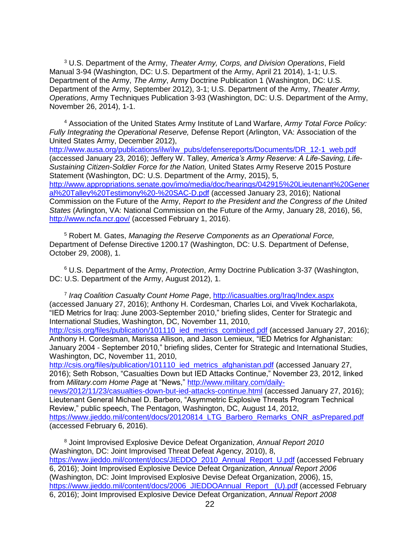<sup>3</sup> U.S. Department of the Army, *Theater Army, Corps, and Division Operations*, Field Manual 3-94 (Washington, DC: U.S. Department of the Army, April 21 2014), 1-1; U.S. Department of the Army, *The Army*, Army Doctrine Publication 1 (Washington, DC: U.S. Department of the Army, September 2012), 3-1; U.S. Department of the Army, *Theater Army, Operations*, Army Techniques Publication 3-93 (Washington, DC: U.S. Department of the Army, November 26, 2014), 1-1.

<sup>4</sup> Association of the United States Army Institute of Land Warfare, *Army Total Force Policy: Fully Integrating the Operational Reserve,* Defense Report (Arlington, VA: Association of the United States Army, December 2012),

[http://www.ausa.org/publications/ilw/ilw\\_pubs/defensereports/Documents/DR\\_12-1\\_web.pdf](http://www.ausa.org/publications/ilw/ilw_pubs/defensereports/Documents/DR_12-1_web.pdf) (accessed January 23, 2016); Jeffery W. Talley, *America's Army Reserve: A Life-Saving, Life-Sustaining Citizen-Soldier Force for the Nation,* United States Army Reserve 2015 Posture Statement (Washington, DC: U.S. Department of the Army, 2015), 5, [http://www.appropriations.senate.gov/imo/media/doc/hearings/042915%20Lieutenant%20Gener](http://www.appropriations.senate.gov/imo/media/doc/hearings/042915%20Lieutenant%20General%20Talley%20Testimony%20-%20SAC-D.pdf) [al%20Talley%20Testimony%20-%20SAC-D.pdf](http://www.appropriations.senate.gov/imo/media/doc/hearings/042915%20Lieutenant%20General%20Talley%20Testimony%20-%20SAC-D.pdf) (accessed January 23, 2016); National Commission on the Future of the Army, *Report to the President and the Congress of the United States* (Arlington, VA: National Commission on the Future of the Army, January 28, 2016), 56, <http://www.ncfa.ncr.gov/> (accessed February 1, 2016).

<sup>5</sup> Robert M. Gates, *Managing the Reserve Components as an Operational Force,*  Department of Defense Directive 1200.17 (Washington, DC: U.S. Department of Defense, October 29, 2008), 1.

<sup>6</sup> U.S. Department of the Army, *Protection*, Army Doctrine Publication 3-37 (Washington, DC: U.S. Department of the Army, August 2012), 1.

7 *Iraq Coalition Casualty Count Home Page*,<http://icasualties.org/Iraq/Index.aspx> (accessed January 27, 2016); Anthony H. Cordesman, Charles Loi, and Vivek Kocharlakota, "IED Metrics for Iraq: June 2003-September 2010," briefing slides, Center for Strategic and International Studies, Washington, DC, November 11, 2010,

[http://csis.org/files/publication/101110\\_ied\\_metrics\\_combined.pdf](http://csis.org/files/publication/101110_ied_metrics_combined.pdf) (accessed January 27, 2016); Anthony H. Cordesman, Marissa Allison, and Jason Lemieux, "IED Metrics for Afghanistan: January 2004 - September 2010," briefing slides, Center for Strategic and International Studies, Washington, DC, November 11, 2010,

http://csis.org/files/publication/101110 ied metrics afghanistan.pdf (accessed January 27, 2016); Seth Robson, "Casualties Down but IED Attacks Continue," November 23, 2012, linked from *Military.com Home Page* at "News," [http://www.military.com/daily-](http://www.military.com/daily-news/2012/11/23/casualties-down-but-ied-attacks-continue.html)

[news/2012/11/23/casualties-down-but-ied-attacks-continue.html](http://www.military.com/daily-news/2012/11/23/casualties-down-but-ied-attacks-continue.html) (accessed January 27, 2016); Lieutenant General Michael D. Barbero, "Asymmetric Explosive Threats Program Technical Review," public speech, The Pentagon, Washington, DC, August 14, 2012, [https://www.jieddo.mil/content/docs/20120814\\_LTG\\_Barbero\\_Remarks\\_ONR\\_asPrepared.pdf](https://www.jieddo.mil/content/docs/20120814_LTG_Barbero_Remarks_ONR_asPrepared.pdf) (accessed February 6, 2016).

<sup>8</sup> Joint Improvised Explosive Device Defeat Organization, *Annual Report 2010*  (Washington, DC: Joint Improvised Threat Defeat Agency, 2010), 8, [https://www.jieddo.mil/content/docs/JIEDDO\\_2010\\_Annual\\_Report\\_U.pdf](https://www.jieddo.mil/content/docs/JIEDDO_2010_Annual_Report_U.pdf) (accessed February 6, 2016); Joint Improvised Explosive Device Defeat Organization, *Annual Report 2006*  (Washington, DC: Joint Improvised Explosive Devise Defeat Organization, 2006), 15, [https://www.jieddo.mil/content/docs/2006\\_JIEDDOAnnual\\_Report \\_\(U\).pdf](https://www.jieddo.mil/content/docs/2006_JIEDDOAnnual_Report%20_(U).pdf) (accessed February 6, 2016); Joint Improvised Explosive Device Defeat Organization, *Annual Report 2008*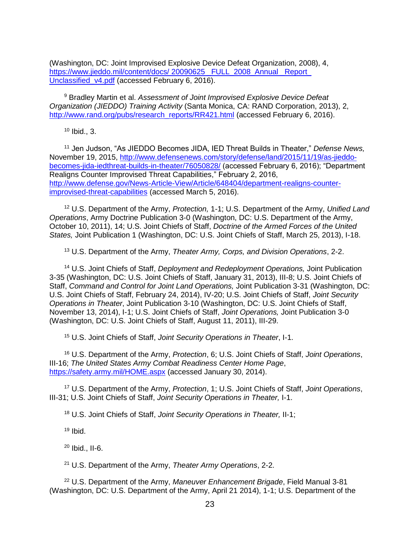(Washington, DC: Joint Improvised Explosive Device Defeat Organization, 2008), 4, https://www.jieddo.mil/content/docs/ 20090625 FULL\_2008\_Annual \_Report Unclassified v4.pdf (accessed February 6, 2016).

<sup>9</sup> Bradley Martin et al. *Assessment of Joint Improvised Explosive Device Defeat Organization (JIEDDO) Training Activity* (Santa Monica, CA: RAND Corporation, 2013), 2, [http://www.rand.org/pubs/research\\_reports/RR421.html](http://www.rand.org/pubs/research_reports/RR421.html) (accessed February 6, 2016).

 $10$  Ibid., 3.

<sup>11</sup> Jen Judson, "As JIEDDO Becomes JIDA, IED Threat Builds in Theater," *Defense News,*  November 19, 2015, [http://www.defensenews.com/story/defense/land/2015/11/19/as-jieddo](http://www.defensenews.com/story/defense/land/2015/11/19/as-jieddo-becomes-jida-iedthreat-builds-in-theater/76050828/)[becomes-jida-iedthreat-builds-in-theater/76050828/](http://www.defensenews.com/story/defense/land/2015/11/19/as-jieddo-becomes-jida-iedthreat-builds-in-theater/76050828/) (accessed February 6, 2016); "Department Realigns Counter Improvised Threat Capabilities," February 2, 2016, [http://www.defense.gov/News-Article-View/Article/648404/department-realigns-counter](http://www.defense.gov/News-Article-View/Article/648404/department-realigns-counter-improvised-threat-capabilities)[improvised-threat-capabilities](http://www.defense.gov/News-Article-View/Article/648404/department-realigns-counter-improvised-threat-capabilities) (accessed March 5, 2016).

<sup>12</sup> U.S. Department of the Army, *Protection,* 1-1; U.S. Department of the Army, *Unified Land Operations*, Army Doctrine Publication 3-0 (Washington, DC: U.S. Department of the Army, October 10, 2011), 14; U.S. Joint Chiefs of Staff, *Doctrine of the Armed Forces of the United States,* Joint Publication 1 (Washington, DC: U.S. Joint Chiefs of Staff, March 25, 2013), I-18.

<sup>13</sup> U.S. Department of the Army, *Theater Army, Corps, and Division Operations*, 2-2.

<sup>14</sup> U.S. Joint Chiefs of Staff, *Deployment and Redeployment Operations,* Joint Publication 3-35 (Washington, DC: U.S. Joint Chiefs of Staff, January 31, 2013), III-8; U.S. Joint Chiefs of Staff, *Command and Control for Joint Land Operations,* Joint Publication 3-31 (Washington, DC: U.S. Joint Chiefs of Staff, February 24, 2014), IV-20; U.S. Joint Chiefs of Staff, *Joint Security Operations in Theater*, Joint Publication 3-10 (Washington, DC: U.S. Joint Chiefs of Staff, November 13, 2014), I-1; U.S. Joint Chiefs of Staff, *Joint Operations,* Joint Publication 3-0 (Washington, DC: U.S. Joint Chiefs of Staff, August 11, 2011), III-29.

<sup>15</sup> U.S. Joint Chiefs of Staff, *Joint Security Operations in Theater*, I-1.

<sup>16</sup> U.S. Department of the Army, *Protection*, 6; U.S. Joint Chiefs of Staff, *Joint Operations*, III-16; *The United States Army Combat Readiness Center Home Page*, <https://safety.army.mil/HOME.aspx> (accessed January 30, 2014).

<sup>17</sup> U.S. Department of the Army, *Protection*, 1; U.S. Joint Chiefs of Staff, *Joint Operations*, III-31; U.S. Joint Chiefs of Staff, *Joint Security Operations in Theater,* I-1.

<sup>18</sup> U.S. Joint Chiefs of Staff, *Joint Security Operations in Theater,* II-1;

 $19$  Ibid.

<sup>20</sup> Ibid., II-6.

<sup>21</sup> U.S. Department of the Army, *Theater Army Operations*, 2-2.

<sup>22</sup> U.S. Department of the Army, *Maneuver Enhancement Brigade*, Field Manual 3-81 (Washington, DC: U.S. Department of the Army, April 21 2014), 1-1; U.S. Department of the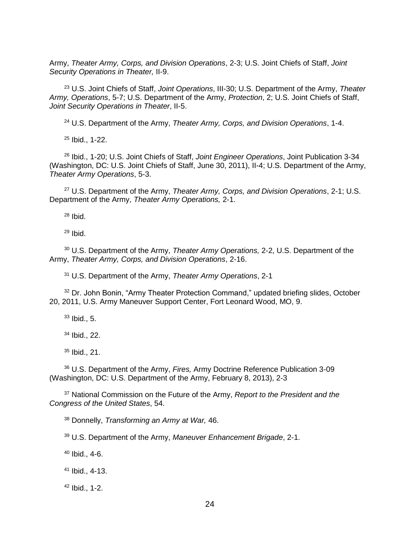Army, *Theater Army, Corps, and Division Operations*, 2-3; U.S. Joint Chiefs of Staff, *Joint Security Operations in Theater,* II-9.

 U.S. Joint Chiefs of Staff, *Joint Operations*, III-30; U.S. Department of the Army, *Theater Army, Operations*, 5-7; U.S. Department of the Army, *Protection*, 2; U.S. Joint Chiefs of Staff, *Joint Security Operations in Theater*, II-5.

U.S. Department of the Army, *Theater Army, Corps, and Division Operations*, 1-4.

Ibid., 1-22.

 Ibid., 1-20; U.S. Joint Chiefs of Staff, *Joint Engineer Operations*, Joint Publication 3-34 (Washington, DC: U.S. Joint Chiefs of Staff, June 30, 2011), II-4; U.S. Department of the Army, *Theater Army Operations*, 5-3.

 U.S. Department of the Army, *Theater Army, Corps, and Division Operations*, 2-1; U.S. Department of the Army, *Theater Army Operations,* 2-1.

Ibid.

Ibid.

 U.S. Department of the Army, *Theater Army Operations,* 2-2, U.S. Department of the Army, *Theater Army, Corps, and Division Operations*, 2-16.

U.S. Department of the Army, *Theater Army Operations*, 2-1

<sup>32</sup> Dr. John Bonin, "Army Theater Protection Command," updated briefing slides, October 20, 2011, U.S. Army Maneuver Support Center, Fort Leonard Wood, MO, 9.

Ibid., 5.

Ibid., 22.

Ibid., 21.

 U.S. Department of the Army, *Fires,* Army Doctrine Reference Publication 3-09 (Washington, DC: U.S. Department of the Army, February 8, 2013), 2-3

 National Commission on the Future of the Army, *Report to the President and the Congress of the United States*, 54.

Donnelly, *Transforming an Army at War,* 46.

U.S. Department of the Army, *Maneuver Enhancement Brigade*, 2-1.

Ibid., 4-6.

Ibid., 4-13.

Ibid., 1-2.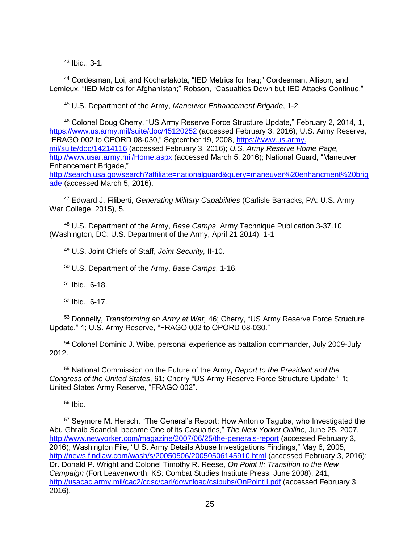<sup>43</sup> Ibid., 3-1.

<sup>44</sup> Cordesman, Loi, and Kocharlakota, "IED Metrics for Iraq;" Cordesman, Allison, and Lemieux, "IED Metrics for Afghanistan;" Robson, "Casualties Down but IED Attacks Continue."

<sup>45</sup> U.S. Department of the Army, *Maneuver Enhancement Brigade*, 1-2.

<sup>46</sup> Colonel Doug Cherry, "US Army Reserve Force Structure Update," February 2, 2014, 1, <https://www.us.army.mil/suite/doc/45120252> (accessed February 3, 2016); U.S. Army Reserve, "FRAGO 002 to OPORD 08-030," September 19, 2008, https://www.us.army. mil/suite/doc/14214116 (accessed February 3, 2016); *U.S. Army Reserve Home Page,*  <http://www.usar.army.mil/Home.aspx> (accessed March 5, 2016); National Guard, "Maneuver Enhancement Brigade," [http://search.usa.gov/search?affiliate=nationalguard&query=maneuver%20enhancment%20brig](http://search.usa.gov/search?affiliate=nationalguard&query=maneuver%20enhancment%20brigade) [ade](http://search.usa.gov/search?affiliate=nationalguard&query=maneuver%20enhancment%20brigade) (accessed March 5, 2016).

<sup>47</sup> Edward J. Filiberti, *Generating Military Capabilities* (Carlisle Barracks, PA: U.S. Army War College, 2015), 5.

<sup>48</sup> U.S. Department of the Army, *Base Camps*, Army Technique Publication 3-37.10 (Washington, DC: U.S. Department of the Army, April 21 2014), 1-1

<sup>49</sup> U.S. Joint Chiefs of Staff, *Joint Security,* II-10.

<sup>50</sup> U.S. Department of the Army, *Base Camps*, 1-16.

<sup>51</sup> Ibid., 6-18.

<sup>52</sup> Ibid., 6-17.

<sup>53</sup> Donnelly, *Transforming an Army at War,* 46; Cherry, "US Army Reserve Force Structure Update," 1; U.S. Army Reserve, "FRAGO 002 to OPORD 08-030."

<sup>54</sup> Colonel Dominic J. Wibe, personal experience as battalion commander, July 2009-July 2012.

<sup>55</sup> National Commission on the Future of the Army, *Report to the President and the Congress of the United States*, 61; Cherry "US Army Reserve Force Structure Update," 1; United States Army Reserve, "FRAGO 002".

 $56$  Ibid.

<sup>57</sup> Seymore M. Hersch, "The General's Report: How Antonio Taguba, who Investigated the Abu Ghraib Scandal, became One of its Casualties," *The New Yorker Online,* June 25, 2007, <http://www.newyorker.com/magazine/2007/06/25/the-generals-report> (accessed February 3, 2016); Washington File, "U.S. Army Details Abuse Investigations Findings," May 6, 2005, <http://news.findlaw.com/wash/s/20050506/20050506145910.html> (accessed February 3, 2016); Dr. Donald P. Wright and Colonel Timothy R. Reese, *On Point II: Transition to the New Campaign* (Fort Leavenworth, KS: Combat Studies Institute Press, June 2008), 241, <http://usacac.army.mil/cac2/cgsc/carl/download/csipubs/OnPointII.pdf> (accessed February 3, 2016).